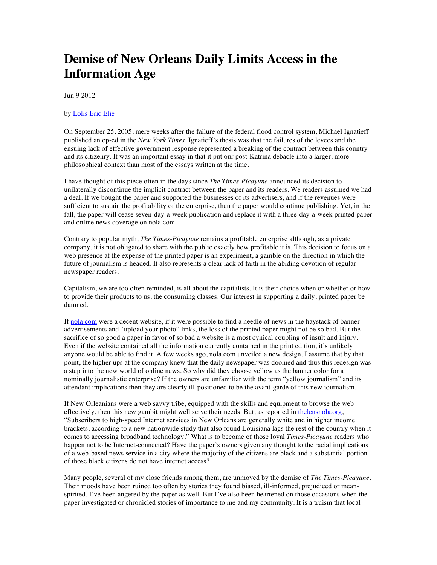## **Demise of New Orleans Daily Limits Access in the Information Age**

Jun 9 2012

## by Lolis Eric Elie

On September 25, 2005, mere weeks after the failure of the federal flood control system, Michael Ignatieff published an op-ed in the *New York Times*. Ignatieff's thesis was that the failures of the levees and the ensuing lack of effective government response represented a breaking of the contract between this country and its citizenry. It was an important essay in that it put our post-Katrina debacle into a larger, more philosophical context than most of the essays written at the time.

I have thought of this piece often in the days since *The Times-Picayune* announced its decision to unilaterally discontinue the implicit contract between the paper and its readers. We readers assumed we had a deal. If we bought the paper and supported the businesses of its advertisers, and if the revenues were sufficient to sustain the profitability of the enterprise, then the paper would continue publishing. Yet, in the fall, the paper will cease seven-day-a-week publication and replace it with a three-day-a-week printed paper and online news coverage on nola.com.

Contrary to popular myth, *The Times-Picayune* remains a profitable enterprise although, as a private company, it is not obligated to share with the public exactly how profitable it is. This decision to focus on a web presence at the expense of the printed paper is an experiment, a gamble on the direction in which the future of journalism is headed. It also represents a clear lack of faith in the abiding devotion of regular newspaper readers.

Capitalism, we are too often reminded, is all about the capitalists. It is their choice when or whether or how to provide their products to us, the consuming classes. Our interest in supporting a daily, printed paper be damned.

If nola.com were a decent website, if it were possible to find a needle of news in the haystack of banner advertisements and "upload your photo" links, the loss of the printed paper might not be so bad. But the sacrifice of so good a paper in favor of so bad a website is a most cynical coupling of insult and injury. Even if the website contained all the information currently contained in the print edition, it's unlikely anyone would be able to find it. A few weeks ago, nola.com unveiled a new design. I assume that by that point, the higher ups at the company knew that the daily newspaper was doomed and thus this redesign was a step into the new world of online news. So why did they choose yellow as the banner color for a nominally journalistic enterprise? If the owners are unfamiliar with the term "yellow journalism" and its attendant implications then they are clearly ill-positioned to be the avant-garde of this new journalism.

If New Orleanians were a web savvy tribe, equipped with the skills and equipment to browse the web effectively, then this new gambit might well serve their needs. But, as reported in the lensnola.org, "Subscribers to high-speed Internet services in New Orleans are generally white and in higher income brackets, according to a new nationwide study that also found Louisiana lags the rest of the country when it comes to accessing broadband technology." What is to become of those loyal *Times-Picayune* readers who happen not to be Internet-connected? Have the paper's owners given any thought to the racial implications of a web-based news service in a city where the majority of the citizens are black and a substantial portion of those black citizens do not have internet access?

Many people, several of my close friends among them, are unmoved by the demise of *The Times-Picayune*. Their moods have been ruined too often by stories they found biased, ill-informed, prejudiced or meanspirited. I've been angered by the paper as well. But I've also been heartened on those occasions when the paper investigated or chronicled stories of importance to me and my community. It is a truism that local